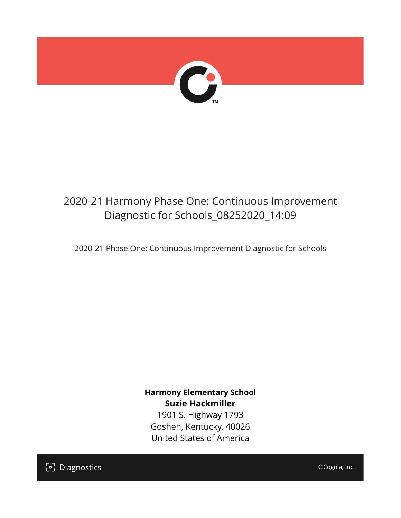

# 2020-21 Harmony Phase One: Continuous Improvement Diagnostic for Schools\_08252020\_14:09

2020-21 Phase One: Continuous Improvement Diagnostic for Schools

**Harmony Elementary School Suzie Hackmiller**

1901 S. Highway 1793 Goshen, Kentucky, 40026 United States of America

[၁] Diagnostics

©Cognia, Inc.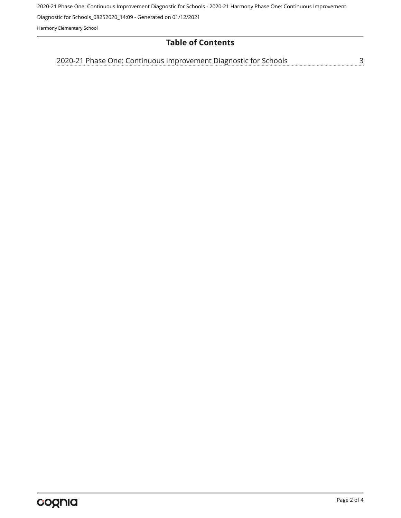2020-21 Phase One: Continuous Improvement Diagnostic for Schools - 2020-21 Harmony Phase One: Continuous Improvement

Diagnostic for Schools\_08252020\_14:09 - Generated on 01/12/2021

Harmony Elementary School

### **Table of Contents**

[2020-21 Phase One: Continuous Improvement Diagnostic for Schools](#page-2-0)[3](#page-2-0)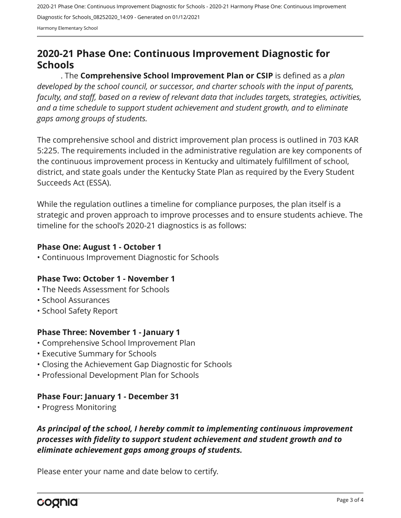2020-21 Phase One: Continuous Improvement Diagnostic for Schools - 2020-21 Harmony Phase One: Continuous Improvement Diagnostic for Schools\_08252020\_14:09 - Generated on 01/12/2021 Harmony Elementary School

# <span id="page-2-0"></span>**2020-21 Phase One: Continuous Improvement Diagnostic for Schools**

. The **Comprehensive School Improvement Plan or CSIP** is defined as a *plan developed by the school council, or successor, and charter schools with the input of parents, faculty, and staff, based on a review of relevant data that includes targets, strategies, activities, and a time schedule to support student achievement and student growth, and to eliminate gaps among groups of students.*

The comprehensive school and district improvement plan process is outlined in 703 KAR 5:225. The requirements included in the administrative regulation are key components of the continuous improvement process in Kentucky and ultimately fulfillment of school, district, and state goals under the Kentucky State Plan as required by the Every Student Succeeds Act (ESSA).

While the regulation outlines a timeline for compliance purposes, the plan itself is a strategic and proven approach to improve processes and to ensure students achieve. The timeline for the school's 2020-21 diagnostics is as follows:

#### **Phase One: August 1 - October 1**

• Continuous Improvement Diagnostic for Schools

#### **Phase Two: October 1 - November 1**

- The Needs Assessment for Schools
- School Assurances
- School Safety Report

#### **Phase Three: November 1 - January 1**

- Comprehensive School Improvement Plan
- Executive Summary for Schools
- Closing the Achievement Gap Diagnostic for Schools
- Professional Development Plan for Schools

#### **Phase Four: January 1 - December 31**

• Progress Monitoring

## *As principal of the school, I hereby commit to implementing continuous improvement processes with fidelity to support student achievement and student growth and to eliminate achievement gaps among groups of students.*

Please enter your name and date below to certify.